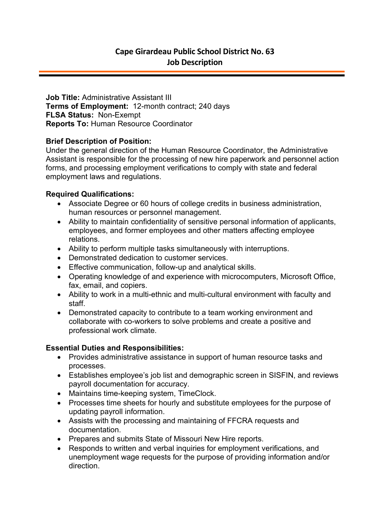**Job Title:** Administrative Assistant III **Terms of Employment:** 12-month contract; 240 days **FLSA Status:** Non-Exempt **Reports To:** Human Resource Coordinator

## **Brief Description of Position:**

Under the general direction of the Human Resource Coordinator, the Administrative Assistant is responsible for the processing of new hire paperwork and personnel action forms, and processing employment verifications to comply with state and federal employment laws and regulations.

## **Required Qualifications:**

- Associate Degree or 60 hours of college credits in business administration, human resources or personnel management.
- Ability to maintain confidentiality of sensitive personal information of applicants, employees, and former employees and other matters affecting employee relations.
- Ability to perform multiple tasks simultaneously with interruptions.
- Demonstrated dedication to customer services.
- Effective communication, follow-up and analytical skills.
- Operating knowledge of and experience with microcomputers, Microsoft Office, fax, email, and copiers.
- Ability to work in a multi-ethnic and multi-cultural environment with faculty and staff.
- Demonstrated capacity to contribute to a team working environment and collaborate with co-workers to solve problems and create a positive and professional work climate.

## **Essential Duties and Responsibilities:**

- Provides administrative assistance in support of human resource tasks and processes.
- Establishes employee's job list and demographic screen in SISFIN, and reviews payroll documentation for accuracy.
- Maintains time-keeping system, TimeClock.
- Processes time sheets for hourly and substitute employees for the purpose of updating payroll information.
- Assists with the processing and maintaining of FFCRA requests and documentation.
- Prepares and submits State of Missouri New Hire reports.
- Responds to written and verbal inquiries for employment verifications, and unemployment wage requests for the purpose of providing information and/or direction.